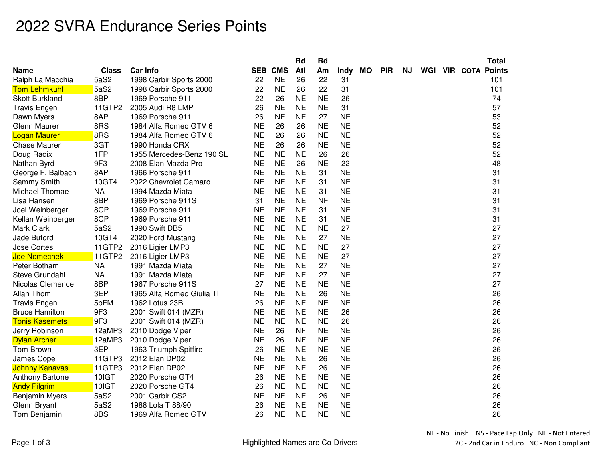## 2022 SVRA Endurance Series Points

|                        |              |                           |           |                | Rd        | Rd        |           |           |            |           |  | <b>Total</b>               |
|------------------------|--------------|---------------------------|-----------|----------------|-----------|-----------|-----------|-----------|------------|-----------|--|----------------------------|
| <b>Name</b>            | <b>Class</b> | <b>Car Info</b>           |           | <b>SEB CMS</b> | Atl       | Am        | Indy      | <b>MO</b> | <b>PIR</b> | <b>NJ</b> |  | <b>WGI VIR COTA Points</b> |
| Ralph La Macchia       | 5aS2         | 1998 Carbir Sports 2000   | 22        | <b>NE</b>      | 26        | 22        | 31        |           |            |           |  | 101                        |
| <b>Tom Lehmkuhl</b>    | 5aS2         | 1998 Carbir Sports 2000   | 22        | <b>NE</b>      | 26        | 22        | 31        |           |            |           |  | 101                        |
| <b>Skott Burkland</b>  | 8BP          | 1969 Porsche 911          | 22        | 26             | <b>NE</b> | <b>NE</b> | 26        |           |            |           |  | 74                         |
| <b>Travis Engen</b>    | 11GTP2       | 2005 Audi R8 LMP          | 26        | <b>NE</b>      | <b>NE</b> | <b>NE</b> | 31        |           |            |           |  | 57                         |
| Dawn Myers             | 8AP          | 1969 Porsche 911          | 26        | <b>NE</b>      | <b>NE</b> | 27        | <b>NE</b> |           |            |           |  | 53                         |
| Glenn Maurer           | 8RS          | 1984 Alfa Romeo GTV 6     | <b>NE</b> | 26             | 26        | <b>NE</b> | <b>NE</b> |           |            |           |  | 52                         |
| <b>Logan Maurer</b>    | 8RS          | 1984 Alfa Romeo GTV 6     | <b>NE</b> | 26             | 26        | <b>NE</b> | <b>NE</b> |           |            |           |  | 52                         |
| <b>Chase Maurer</b>    | 3GT          | 1990 Honda CRX            | <b>NE</b> | 26             | 26        | <b>NE</b> | <b>NE</b> |           |            |           |  | 52                         |
| Doug Radix             | 1FP          | 1955 Mercedes-Benz 190 SL | <b>NE</b> | <b>NE</b>      | <b>NE</b> | 26        | 26        |           |            |           |  | 52                         |
| Nathan Byrd            | 9F3          | 2008 Elan Mazda Pro       | <b>NE</b> | <b>NE</b>      | 26        | <b>NE</b> | 22        |           |            |           |  | 48                         |
| George F. Balbach      | 8AP          | 1966 Porsche 911          | <b>NE</b> | <b>NE</b>      | <b>NE</b> | 31        | <b>NE</b> |           |            |           |  | 31                         |
| Sammy Smith            | 10GT4        | 2022 Chevrolet Camaro     | <b>NE</b> | <b>NE</b>      | <b>NE</b> | 31        | <b>NE</b> |           |            |           |  | 31                         |
| Michael Thomae         | <b>NA</b>    | 1994 Mazda Miata          | <b>NE</b> | <b>NE</b>      | <b>NE</b> | 31        | <b>NE</b> |           |            |           |  | 31                         |
| Lisa Hansen            | 8BP          | 1969 Porsche 911S         | 31        | <b>NE</b>      | <b>NE</b> | <b>NF</b> | <b>NE</b> |           |            |           |  | 31                         |
| Joel Weinberger        | 8CP          | 1969 Porsche 911          | <b>NE</b> | <b>NE</b>      | <b>NE</b> | 31        | <b>NE</b> |           |            |           |  | 31                         |
| Kellan Weinberger      | 8CP          | 1969 Porsche 911          | <b>NE</b> | <b>NE</b>      | <b>NE</b> | 31        | <b>NE</b> |           |            |           |  | 31                         |
| Mark Clark             | 5aS2         | 1990 Swift DB5            | <b>NE</b> | <b>NE</b>      | <b>NE</b> | <b>NE</b> | 27        |           |            |           |  | 27                         |
| Jade Buford            | 10GT4        | 2020 Ford Mustang         | <b>NE</b> | <b>NE</b>      | <b>NE</b> | 27        | <b>NE</b> |           |            |           |  | 27                         |
| <b>Jose Cortes</b>     | 11GTP2       | 2016 Ligier LMP3          | <b>NE</b> | <b>NE</b>      | <b>NE</b> | <b>NE</b> | 27        |           |            |           |  | 27                         |
| <b>Joe Nemechek</b>    | 11GTP2       | 2016 Ligier LMP3          | <b>NE</b> | <b>NE</b>      | <b>NE</b> | <b>NE</b> | 27        |           |            |           |  | 27                         |
| Peter Botham           | <b>NA</b>    | 1991 Mazda Miata          | <b>NE</b> | <b>NE</b>      | <b>NE</b> | 27        | <b>NE</b> |           |            |           |  | 27                         |
| Steve Grundahl         | <b>NA</b>    | 1991 Mazda Miata          | <b>NE</b> | <b>NE</b>      | <b>NE</b> | 27        | <b>NE</b> |           |            |           |  | 27                         |
| Nicolas Clemence       | 8BP          | 1967 Porsche 911S         | 27        | <b>NE</b>      | <b>NE</b> | <b>NE</b> | <b>NE</b> |           |            |           |  | 27                         |
| Allan Thom             | 3EP          | 1965 Alfa Romeo Giulia TI | <b>NE</b> | <b>NE</b>      | <b>NE</b> | 26        | <b>NE</b> |           |            |           |  | 26                         |
| <b>Travis Engen</b>    | 5bFM         | 1962 Lotus 23B            | 26        | <b>NE</b>      | <b>NE</b> | <b>NE</b> | <b>NE</b> |           |            |           |  | 26                         |
| <b>Bruce Hamilton</b>  | 9F3          | 2001 Swift 014 (MZR)      | <b>NE</b> | <b>NE</b>      | <b>NE</b> | <b>NE</b> | 26        |           |            |           |  | 26                         |
| <b>Tonis Kasemets</b>  | 9F3          | 2001 Swift 014 (MZR)      | <b>NE</b> | <b>NE</b>      | <b>NE</b> | <b>NE</b> | 26        |           |            |           |  | 26                         |
| Jerry Robinson         | 12aMP3       | 2010 Dodge Viper          | <b>NE</b> | 26             | <b>NF</b> | <b>NE</b> | <b>NE</b> |           |            |           |  | 26                         |
| <b>Dylan Archer</b>    | 12aMP3       | 2010 Dodge Viper          | <b>NE</b> | 26             | <b>NF</b> | <b>NE</b> | <b>NE</b> |           |            |           |  | 26                         |
| Tom Brown              | 3EP          | 1963 Triumph Spitfire     | 26        | <b>NE</b>      | <b>NE</b> | <b>NE</b> | <b>NE</b> |           |            |           |  | 26                         |
| James Cope             | 11GTP3       | 2012 Elan DP02            | <b>NE</b> | <b>NE</b>      | <b>NE</b> | 26        | <b>NE</b> |           |            |           |  | 26                         |
| <b>Johnny Kanavas</b>  | 11GTP3       | 2012 Elan DP02            | <b>NE</b> | <b>NE</b>      | <b>NE</b> | 26        | <b>NE</b> |           |            |           |  | 26                         |
| <b>Anthony Bartone</b> | 10IGT        | 2020 Porsche GT4          | 26        | <b>NE</b>      | <b>NE</b> | <b>NE</b> | <b>NE</b> |           |            |           |  | 26                         |
| <b>Andy Pilgrim</b>    | 10IGT        | 2020 Porsche GT4          | 26        | <b>NE</b>      | <b>NE</b> | <b>NE</b> | <b>NE</b> |           |            |           |  | 26                         |
| <b>Benjamin Myers</b>  | 5aS2         | 2001 Carbir CS2           | <b>NE</b> | <b>NE</b>      | <b>NE</b> | 26        | <b>NE</b> |           |            |           |  | 26                         |
| Glenn Bryant           | 5aS2         | 1988 Lola T 88/90         | 26        | <b>NE</b>      | <b>NE</b> | <b>NE</b> | <b>NE</b> |           |            |           |  | 26                         |
| Tom Benjamin           | 8BS          | 1969 Alfa Romeo GTV       | 26        | <b>NE</b>      | <b>NE</b> | <b>NE</b> | <b>NE</b> |           |            |           |  | 26                         |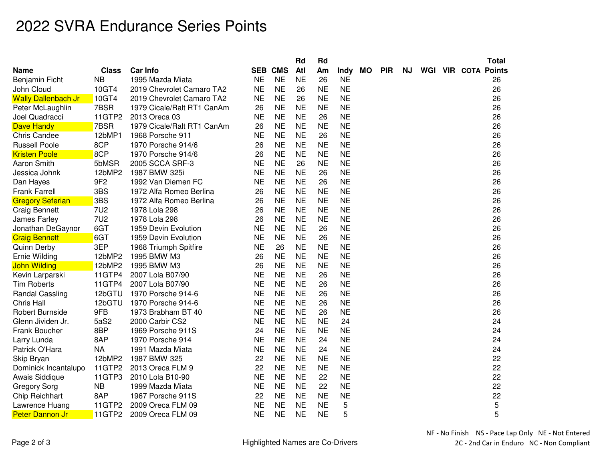## 2022 SVRA Endurance Series Points

|                            |                 |                            |           |                | Rd        | Rd        |             |           |            |     |  | <b>Total</b>               |
|----------------------------|-----------------|----------------------------|-----------|----------------|-----------|-----------|-------------|-----------|------------|-----|--|----------------------------|
| Name                       | <b>Class</b>    | <b>Car Info</b>            |           | <b>SEB CMS</b> | Atl       | Am        | <b>Indy</b> | <b>MO</b> | <b>PIR</b> | NJ. |  | <b>WGI VIR COTA Points</b> |
| Benjamin Ficht             | <b>NB</b>       | 1995 Mazda Miata           | <b>NE</b> | <b>NE</b>      | <b>NE</b> | 26        | <b>NE</b>   |           |            |     |  | 26                         |
| John Cloud                 | 10GT4           | 2019 Chevrolet Camaro TA2  | <b>NE</b> | <b>NE</b>      | 26        | <b>NE</b> | <b>NE</b>   |           |            |     |  | 26                         |
| <b>Wally Dallenbach Jr</b> | 10GT4           | 2019 Chevrolet Camaro TA2  | <b>NE</b> | <b>NE</b>      | 26        | <b>NE</b> | <b>NE</b>   |           |            |     |  | 26                         |
| Peter McLaughlin           | 7BSR            | 1979 Cicale/Ralt RT1 CanAm | 26        | <b>NE</b>      | <b>NE</b> | <b>NE</b> | <b>NE</b>   |           |            |     |  | 26                         |
| Joel Quadracci             | 11GTP2          | 2013 Oreca 03              | <b>NE</b> | <b>NE</b>      | <b>NE</b> | 26        | <b>NE</b>   |           |            |     |  | 26                         |
| <b>Dave Handy</b>          | 7BSR            | 1979 Cicale/Ralt RT1 CanAm | 26        | <b>NE</b>      | <b>NE</b> | <b>NE</b> | <b>NE</b>   |           |            |     |  | 26                         |
| <b>Chris Candee</b>        | 12bMP1          | 1968 Porsche 911           | <b>NE</b> | <b>NE</b>      | <b>NE</b> | 26        | <b>NE</b>   |           |            |     |  | 26                         |
| <b>Russell Poole</b>       | 8CP             | 1970 Porsche 914/6         | 26        | <b>NE</b>      | <b>NE</b> | <b>NE</b> | <b>NE</b>   |           |            |     |  | 26                         |
| <b>Kristen Poole</b>       | 8CP             | 1970 Porsche 914/6         | 26        | <b>NE</b>      | <b>NE</b> | <b>NE</b> | <b>NE</b>   |           |            |     |  | 26                         |
| <b>Aaron Smith</b>         | 5bMSR           | 2005 SCCA SRF-3            | <b>NE</b> | <b>NE</b>      | 26        | <b>NE</b> | <b>NE</b>   |           |            |     |  | 26                         |
| Jessica Johnk              | 12bMP2          | 1987 BMW 325i              | <b>NE</b> | <b>NE</b>      | <b>NE</b> | 26        | <b>NE</b>   |           |            |     |  | 26                         |
| Dan Hayes                  | 9F <sub>2</sub> | 1992 Van Diemen FC         | <b>NE</b> | <b>NE</b>      | <b>NE</b> | 26        | <b>NE</b>   |           |            |     |  | 26                         |
| <b>Frank Farrell</b>       | 3BS             | 1972 Alfa Romeo Berlina    | 26        | <b>NE</b>      | <b>NE</b> | <b>NE</b> | <b>NE</b>   |           |            |     |  | 26                         |
| <b>Gregory Seferian</b>    | 3BS             | 1972 Alfa Romeo Berlina    | 26        | <b>NE</b>      | <b>NE</b> | <b>NE</b> | <b>NE</b>   |           |            |     |  | 26                         |
| <b>Craig Bennett</b>       | <b>7U2</b>      | 1978 Lola 298              | 26        | <b>NE</b>      | <b>NE</b> | <b>NE</b> | <b>NE</b>   |           |            |     |  | 26                         |
| James Farley               | <b>7U2</b>      | 1978 Lola 298              | 26        | <b>NE</b>      | <b>NE</b> | <b>NE</b> | <b>NE</b>   |           |            |     |  | 26                         |
| Jonathan DeGaynor          | 6GT             | 1959 Devin Evolution       | <b>NE</b> | <b>NE</b>      | <b>NE</b> | 26        | <b>NE</b>   |           |            |     |  | 26                         |
| <b>Craig Bennett</b>       | 6GT             | 1959 Devin Evolution       | <b>NE</b> | <b>NE</b>      | <b>NE</b> | 26        | <b>NE</b>   |           |            |     |  | 26                         |
| <b>Quinn Derby</b>         | 3EP             | 1968 Triumph Spitfire      | <b>NE</b> | 26             | <b>NE</b> | <b>NE</b> | <b>NE</b>   |           |            |     |  | 26                         |
| Ernie Wilding              | 12bMP2          | 1995 BMW M3                | 26        | <b>NE</b>      | <b>NE</b> | <b>NE</b> | <b>NE</b>   |           |            |     |  | 26                         |
| <b>John Wilding</b>        | 12bMP2          | 1995 BMW M3                | 26        | <b>NE</b>      | <b>NE</b> | <b>NE</b> | <b>NE</b>   |           |            |     |  | 26                         |
| Kevin Larparski            | 11GTP4          | 2007 Lola B07/90           | <b>NE</b> | <b>NE</b>      | <b>NE</b> | 26        | <b>NE</b>   |           |            |     |  | 26                         |
| <b>Tim Roberts</b>         | 11GTP4          | 2007 Lola B07/90           | <b>NE</b> | <b>NE</b>      | <b>NE</b> | 26        | <b>NE</b>   |           |            |     |  | 26                         |
| <b>Randal Cassling</b>     | 12bGTU          | 1970 Porsche 914-6         | <b>NE</b> | <b>NE</b>      | <b>NE</b> | 26        | <b>NE</b>   |           |            |     |  | 26                         |
| <b>Chris Hall</b>          | 12bGTU          | 1970 Porsche 914-6         | <b>NE</b> | <b>NE</b>      | <b>NE</b> | 26        | <b>NE</b>   |           |            |     |  | 26                         |
| <b>Robert Burnside</b>     | 9FB             | 1973 Brabham BT 40         | <b>NE</b> | <b>NE</b>      | <b>NE</b> | 26        | <b>NE</b>   |           |            |     |  | 26                         |
| Glenn Jividen Jr.          | 5aS2            | 2000 Carbir CS2            | <b>NE</b> | <b>NE</b>      | <b>NE</b> | <b>NE</b> | 24          |           |            |     |  | 24                         |
| Frank Boucher              | 8BP             | 1969 Porsche 911S          | 24        | <b>NE</b>      | <b>NE</b> | <b>NE</b> | <b>NE</b>   |           |            |     |  | 24                         |
| Larry Lunda                | 8AP             | 1970 Porsche 914           | <b>NE</b> | <b>NE</b>      | <b>NE</b> | 24        | <b>NE</b>   |           |            |     |  | 24                         |
| Patrick O'Hara             | <b>NA</b>       | 1991 Mazda Miata           | <b>NE</b> | <b>NE</b>      | <b>NE</b> | 24        | <b>NE</b>   |           |            |     |  | 24                         |
| Skip Bryan                 | 12bMP2          | 1987 BMW 325               | 22        | <b>NE</b>      | <b>NE</b> | <b>NE</b> | <b>NE</b>   |           |            |     |  | 22                         |
| Dominick Incantalupo       | 11GTP2          | 2013 Oreca FLM 9           | 22        | <b>NE</b>      | <b>NE</b> | <b>NE</b> | <b>NE</b>   |           |            |     |  | 22                         |
| Awais Siddique             | 11GTP3          | 2010 Lola B10-90           | <b>NE</b> | <b>NE</b>      | <b>NE</b> | 22        | <b>NE</b>   |           |            |     |  | 22                         |
| <b>Gregory Sorg</b>        | NB              | 1999 Mazda Miata           | <b>NE</b> | <b>NE</b>      | <b>NE</b> | 22        | <b>NE</b>   |           |            |     |  | 22                         |
| Chip Reichhart             | 8AP             | 1967 Porsche 911S          | 22        | <b>NE</b>      | <b>NE</b> | <b>NE</b> | <b>NE</b>   |           |            |     |  | 22                         |
| Lawrence Huang             | 11GTP2          | 2009 Oreca FLM 09          | <b>NE</b> | <b>NE</b>      | <b>NE</b> | <b>NE</b> | 5           |           |            |     |  | 5                          |
| <b>Peter Dannon Jr</b>     | 11GTP2          | 2009 Oreca FLM 09          | <b>NE</b> | <b>NE</b>      | <b>NE</b> | <b>NE</b> | 5           |           |            |     |  | 5                          |